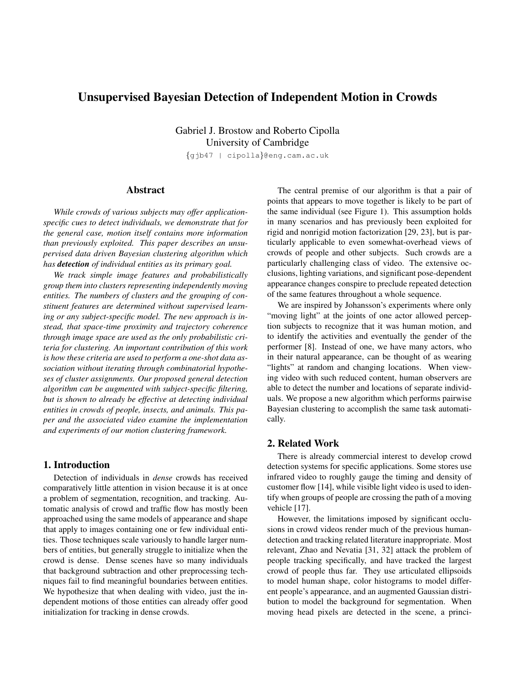# Unsupervised Bayesian Detection of Independent Motion in Crowds

Gabriel J. Brostow and Roberto Cipolla University of Cambridge

{gjb47 | cipolla}@eng.cam.ac.uk

## Abstract

*While crowds of various subjects may offer applicationspecific cues to detect individuals, we demonstrate that for the general case, motion itself contains more information than previously exploited. This paper describes an unsupervised data driven Bayesian clustering algorithm which has detection of individual entities as its primary goal.*

*We track simple image features and probabilistically group them into clusters representing independently moving entities. The numbers of clusters and the grouping of constituent features are determined without supervised learning or any subject-specific model. The new approach is instead, that space-time proximity and trajectory coherence through image space are used as the only probabilistic criteria for clustering. An important contribution of this work is how these criteria are used to perform a one-shot data association without iterating through combinatorial hypotheses of cluster assignments. Our proposed general detection algorithm can be augmented with subject-specific filtering, but is shown to already be effective at detecting individual entities in crowds of people, insects, and animals. This paper and the associated video examine the implementation and experiments of our motion clustering framework.*

#### 1. Introduction

Detection of individuals in *dense* crowds has received comparatively little attention in vision because it is at once a problem of segmentation, recognition, and tracking. Automatic analysis of crowd and traffic flow has mostly been approached using the same models of appearance and shape that apply to images containing one or few individual entities. Those techniques scale variously to handle larger numbers of entities, but generally struggle to initialize when the crowd is dense. Dense scenes have so many individuals that background subtraction and other preprocessing techniques fail to find meaningful boundaries between entities. We hypothesize that when dealing with video, just the independent motions of those entities can already offer good initialization for tracking in dense crowds.

The central premise of our algorithm is that a pair of points that appears to move together is likely to be part of the same individual (see Figure 1). This assumption holds in many scenarios and has previously been exploited for rigid and nonrigid motion factorization [29, 23], but is particularly applicable to even somewhat-overhead views of crowds of people and other subjects. Such crowds are a particularly challenging class of video. The extensive occlusions, lighting variations, and significant pose-dependent appearance changes conspire to preclude repeated detection of the same features throughout a whole sequence.

We are inspired by Johansson's experiments where only "moving light" at the joints of one actor allowed perception subjects to recognize that it was human motion, and to identify the activities and eventually the gender of the performer [8]. Instead of one, we have many actors, who in their natural appearance, can be thought of as wearing "lights" at random and changing locations. When viewing video with such reduced content, human observers are able to detect the number and locations of separate individuals. We propose a new algorithm which performs pairwise Bayesian clustering to accomplish the same task automatically.

## 2. Related Work

There is already commercial interest to develop crowd detection systems for specific applications. Some stores use infrared video to roughly gauge the timing and density of customer flow [14], while visible light video is used to identify when groups of people are crossing the path of a moving vehicle [17].

However, the limitations imposed by significant occlusions in crowd videos render much of the previous humandetection and tracking related literature inappropriate. Most relevant, Zhao and Nevatia [31, 32] attack the problem of people tracking specifically, and have tracked the largest crowd of people thus far. They use articulated ellipsoids to model human shape, color histograms to model different people's appearance, and an augmented Gaussian distribution to model the background for segmentation. When moving head pixels are detected in the scene, a princi-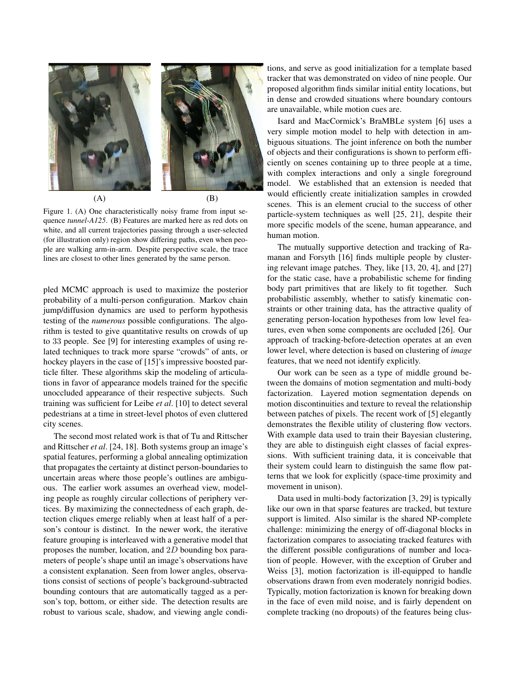

Figure 1. (A) One characteristically noisy frame from input sequence *tunnel-A125*. (B) Features are marked here as red dots on white, and all current trajectories passing through a user-selected (for illustration only) region show differing paths, even when people are walking arm-in-arm. Despite perspective scale, the trace lines are closest to other lines generated by the same person.

pled MCMC approach is used to maximize the posterior probability of a multi-person configuration. Markov chain jump/diffusion dynamics are used to perform hypothesis testing of the *numerous* possible configurations. The algorithm is tested to give quantitative results on crowds of up to 33 people. See [9] for interesting examples of using related techniques to track more sparse "crowds" of ants, or hockey players in the case of [15]'s impressive boosted particle filter. These algorithms skip the modeling of articulations in favor of appearance models trained for the specific unoccluded appearance of their respective subjects. Such training was sufficient for Leibe *et al*. [10] to detect several pedestrians at a time in street-level photos of even cluttered city scenes.

The second most related work is that of Tu and Rittscher and Rittscher *et al*. [24, 18]. Both systems group an image's spatial features, performing a global annealing optimization that propagates the certainty at distinct person-boundaries to uncertain areas where those people's outlines are ambiguous. The earlier work assumes an overhead view, modeling people as roughly circular collections of periphery vertices. By maximizing the connectedness of each graph, detection cliques emerge reliably when at least half of a person's contour is distinct. In the newer work, the iterative feature grouping is interleaved with a generative model that proposes the number, location, and 2D bounding box parameters of people's shape until an image's observations have a consistent explanation. Seen from lower angles, observations consist of sections of people's background-subtracted bounding contours that are automatically tagged as a person's top, bottom, or either side. The detection results are robust to various scale, shadow, and viewing angle conditions, and serve as good initialization for a template based tracker that was demonstrated on video of nine people. Our proposed algorithm finds similar initial entity locations, but in dense and crowded situations where boundary contours are unavailable, while motion cues are.

Isard and MacCormick's BraMBLe system [6] uses a very simple motion model to help with detection in ambiguous situations. The joint inference on both the number of objects and their configurations is shown to perform efficiently on scenes containing up to three people at a time, with complex interactions and only a single foreground model. We established that an extension is needed that would efficiently create initialization samples in crowded scenes. This is an element crucial to the success of other particle-system techniques as well [25, 21], despite their more specific models of the scene, human appearance, and human motion.

The mutually supportive detection and tracking of Ramanan and Forsyth [16] finds multiple people by clustering relevant image patches. They, like [13, 20, 4], and [27] for the static case, have a probabilistic scheme for finding body part primitives that are likely to fit together. Such probabilistic assembly, whether to satisfy kinematic constraints or other training data, has the attractive quality of generating person-location hypotheses from low level features, even when some components are occluded [26]. Our approach of tracking-before-detection operates at an even lower level, where detection is based on clustering of *image* features, that we need not identify explicitly.

Our work can be seen as a type of middle ground between the domains of motion segmentation and multi-body factorization. Layered motion segmentation depends on motion discontinuities and texture to reveal the relationship between patches of pixels. The recent work of [5] elegantly demonstrates the flexible utility of clustering flow vectors. With example data used to train their Bayesian clustering, they are able to distinguish eight classes of facial expressions. With sufficient training data, it is conceivable that their system could learn to distinguish the same flow patterns that we look for explicitly (space-time proximity and movement in unison).

Data used in multi-body factorization [3, 29] is typically like our own in that sparse features are tracked, but texture support is limited. Also similar is the shared NP-complete challenge: minimizing the energy of off-diagonal blocks in factorization compares to associating tracked features with the different possible configurations of number and location of people. However, with the exception of Gruber and Weiss [3], motion factorization is ill-equipped to handle observations drawn from even moderately nonrigid bodies. Typically, motion factorization is known for breaking down in the face of even mild noise, and is fairly dependent on complete tracking (no dropouts) of the features being clus-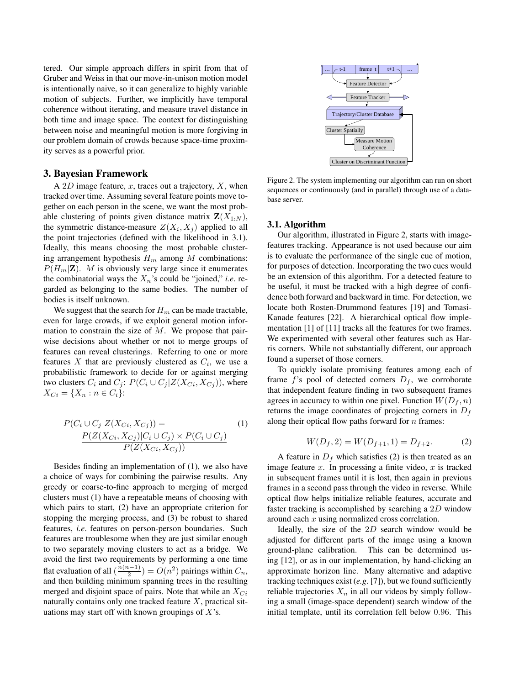tered. Our simple approach differs in spirit from that of Gruber and Weiss in that our move-in-unison motion model is intentionally naive, so it can generalize to highly variable motion of subjects. Further, we implicitly have temporal coherence without iterating, and measure travel distance in both time and image space. The context for distinguishing between noise and meaningful motion is more forgiving in our problem domain of crowds because space-time proximity serves as a powerful prior.

#### 3. Bayesian Framework

A 2D image feature,  $x$ , traces out a trajectory,  $X$ , when tracked over time. Assuming several feature points move together on each person in the scene, we want the most probable clustering of points given distance matrix  $\mathbf{Z}(X_{1:N})$ , the symmetric distance-measure  $Z(X_i, X_j)$  applied to all the point trajectories (defined with the likelihood in 3.1). Ideally, this means choosing the most probable clustering arrangement hypothesis  $H_m$  among M combinations:  $P(H_m|\mathbf{Z})$ . M is obviously very large since it enumerates the combinatorial ways the  $X_n$ 's could be "joined," *i.e.* regarded as belonging to the same bodies. The number of bodies is itself unknown.

We suggest that the search for  $H_m$  can be made tractable, even for large crowds, if we exploit general motion information to constrain the size of  $M$ . We propose that pairwise decisions about whether or not to merge groups of features can reveal clusterings. Referring to one or more features X that are previously clustered as  $C_i$ , we use a probabilistic framework to decide for or against merging two clusters  $C_i$  and  $C_j$ :  $P(C_i \cup C_j | Z(X_{Ci}, X_{C_j}))$ , where  $X_{Ci} = \{X_n : n \in C_i\}$ :

$$
P(C_i \cup C_j | Z(X_{Ci}, X_{Cj})) =
$$
  
\n
$$
\frac{P(Z(X_{Ci}, X_{Cj}) | C_i \cup C_j) \times P(C_i \cup C_j)}{P(Z(X_{Ci}, X_{Cj}))}
$$
 (1)

Besides finding an implementation of (1), we also have a choice of ways for combining the pairwise results. Any greedy or coarse-to-fine approach to merging of merged clusters must (1) have a repeatable means of choosing with which pairs to start, (2) have an appropriate criterion for stopping the merging process, and (3) be robust to shared features, *i.e*. features on person-person boundaries. Such features are troublesome when they are just similar enough to two separately moving clusters to act as a bridge. We avoid the first two requirements by performing a one time flat evaluation of all  $\left(\frac{n(n-1)}{2}\right)$  $\binom{n-1}{2}$  =  $O(n^2)$  pairings within  $C_n$ , and then building minimum spanning trees in the resulting merged and disjoint space of pairs. Note that while an  $X_{Ci}$ naturally contains only one tracked feature  $X$ , practical situations may start off with known groupings of  $X$ 's.



Figure 2. The system implementing our algorithm can run on short sequences or continuously (and in parallel) through use of a database server.

#### 3.1. Algorithm

Our algorithm, illustrated in Figure 2, starts with imagefeatures tracking. Appearance is not used because our aim is to evaluate the performance of the single cue of motion, for purposes of detection. Incorporating the two cues would be an extension of this algorithm. For a detected feature to be useful, it must be tracked with a high degree of confidence both forward and backward in time. For detection, we locate both Rosten-Drummond features [19] and Tomasi-Kanade features [22]. A hierarchical optical flow implementation [1] of [11] tracks all the features for two frames. We experimented with several other features such as Harris corners. While not substantially different, our approach found a superset of those corners.

To quickly isolate promising features among each of frame f's pool of detected corners  $D_f$ , we corroborate that independent feature finding in two subsequent frames agrees in accuracy to within one pixel. Function  $W(D_f, n)$ returns the image coordinates of projecting corners in  $D_f$ along their optical flow paths forward for  $n$  frames:

$$
W(D_f, 2) = W(D_{f+1}, 1) = D_{f+2}.
$$
 (2)

A feature in  $D_f$  which satisfies (2) is then treated as an image feature x. In processing a finite video, x is tracked in subsequent frames until it is lost, then again in previous frames in a second pass through the video in reverse. While optical flow helps initialize reliable features, accurate and faster tracking is accomplished by searching a 2D window around each x using normalized cross correlation.

Ideally, the size of the  $2D$  search window would be adjusted for different parts of the image using a known ground-plane calibration. This can be determined using [12], or as in our implementation, by hand-clicking an approximate horizon line. Many alternative and adaptive tracking techniques exist (*e.g*. [7]), but we found sufficiently reliable trajectories  $X_n$  in all our videos by simply following a small (image-space dependent) search window of the initial template, until its correlation fell below 0.96. This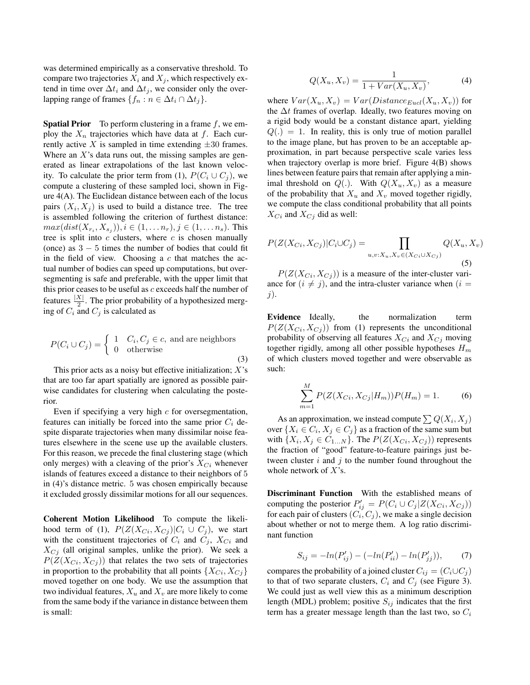was determined empirically as a conservative threshold. To compare two trajectories  $X_i$  and  $X_j$ , which respectively extend in time over  $\Delta t_i$  and  $\Delta t_j$ , we consider only the overlapping range of frames  $\{f_n : n \in \Delta t_i \cap \Delta t_j\}.$ 

**Spatial Prior** To perform clustering in a frame  $f$ , we employ the  $X_n$  trajectories which have data at f. Each currently active X is sampled in time extending  $\pm 30$  frames. Where an  $X$ 's data runs out, the missing samples are generated as linear extrapolations of the last known velocity. To calculate the prior term from (1),  $P(C_i \cup C_j)$ , we compute a clustering of these sampled loci, shown in Figure 4(A). The Euclidean distance between each of the locus pairs  $(X_i, X_j)$  is used to build a distance tree. The tree is assembled following the criterion of furthest distance:  $max(dist(X_{r_i}, X_{s_j})), i \in (1, ..., n_r), j \in (1, ..., n_s)$ . This tree is split into  $c$  clusters, where  $c$  is chosen manually (once) as  $3 - 5$  times the number of bodies that could fit in the field of view. Choosing a  $c$  that matches the actual number of bodies can speed up computations, but oversegmenting is safe and preferable, with the upper limit that this prior ceases to be useful as  $c$  exceeds half the number of features  $\frac{|X|}{2}$ . The prior probability of a hypothesized merging of  $C_i$  and  $C_j$  is calculated as

$$
P(C_i \cup C_j) = \begin{cases} 1 & C_i, C_j \in c, \text{ and are neighbors} \\ 0 & \text{otherwise} \end{cases}
$$
 (3)

This prior acts as a noisy but effective initialization;  $X$ 's that are too far apart spatially are ignored as possible pairwise candidates for clustering when calculating the posterior.

Even if specifying a very high  $c$  for oversegmentation, features can initially be forced into the same prior  $C_i$  despite disparate trajectories when many dissimilar noise features elsewhere in the scene use up the available clusters. For this reason, we precede the final clustering stage (which only merges) with a cleaving of the prior's  $X_{Ci}$  whenever islands of features exceed a distance to their neighbors of 5 in (4)'s distance metric. 5 was chosen empirically because it excluded grossly dissimilar motions for all our sequences.

Coherent Motion Likelihood To compute the likelihood term of (1),  $P(Z(X_{Ci}, X_{Cj})|C_i \cup C_j)$ , we start with the constituent trajectories of  $C_i$  and  $C_j$ ,  $X_{Ci}$  and  $X_{C_i}$  (all original samples, unlike the prior). We seek a  $P(Z(X_{Ci}, X_{Cj}))$  that relates the two sets of trajectories in proportion to the probability that all points  $\{X_{Ci}, X_{Cj}\}$ moved together on one body. We use the assumption that two individual features,  $X_u$  and  $X_v$  are more likely to come from the same body if the variance in distance between them is small:

$$
Q(X_u, X_v) = \frac{1}{1 + Var(X_u, X_v)},
$$
\n(4)

where  $Var(X_u, X_v) = Var(Distance_{Eucl}(X_u, X_v))$  for the  $\Delta t$  frames of overlap. Ideally, two features moving on a rigid body would be a constant distance apart, yielding  $Q(.) = 1$ . In reality, this is only true of motion parallel to the image plane, but has proven to be an acceptable approximation, in part because perspective scale varies less when trajectory overlap is more brief. Figure 4(B) shows lines between feature pairs that remain after applying a minimal threshold on  $Q(.)$ . With  $Q(X_u, X_v)$  as a measure of the probability that  $X_u$  and  $X_v$  moved together rigidly, we compute the class conditional probability that all points  $X_{Ci}$  and  $X_{Cj}$  did as well:

$$
P(Z(X_{Ci}, X_{Cj})|C_i \cup C_j) = \prod_{u,v:X_u, X_v \in (X_{Ci} \cup X_{Cj})} Q(X_u, X_v)
$$
\n(5)

 $P(Z(X_{Ci}, X_{Cj}))$  is a measure of the inter-cluster variance for  $(i \neq j)$ , and the intra-cluster variance when  $(i = j)$  $j$ ).

Evidence Ideally, the normalization term  $P(Z(X_{Ci}, X_{Cj}))$  from (1) represents the unconditional probability of observing all features  $X_{Ci}$  and  $X_{Cj}$  moving together rigidly, among all other possible hypotheses  $H_m$ of which clusters moved together and were observable as such:

$$
\sum_{m=1}^{M} P(Z(X_{Ci}, X_{Cj}|H_m))P(H_m) = 1.
$$
 (6)

As an approximation, we instead compute  $\sum Q(X_i, X_j)$ over  $\{X_i \in C_i, X_j \in C_j\}$  as a fraction of the same sum but with  $\{X_i, X_j \in C_{1...N}\}$ . The  $P(Z(X_{Ci}, X_{Cj}))$  represents the fraction of "good" feature-to-feature pairings just between cluster  $i$  and  $j$  to the number found throughout the whole network of  $X$ 's.

Discriminant Function With the established means of computing the posterior  $P'_{ij} = P(C_i \cup C_j | Z(X_{Ci}, X_{Cj}))$ for each pair of clusters  $(C_i, C_j)$ , we make a single decision about whether or not to merge them. A log ratio discriminant function

$$
S_{ij} = -ln(P'_{ij}) - (-ln(P'_{ii}) - ln(P'_{jj})), \tag{7}
$$

compares the probability of a joined cluster  $C_{ij} = (C_i \cup C_j)$ to that of two separate clusters,  $C_i$  and  $C_j$  (see Figure 3). We could just as well view this as a minimum description length (MDL) problem; positive  $S_{ij}$  indicates that the first term has a greater message length than the last two, so  $C_i$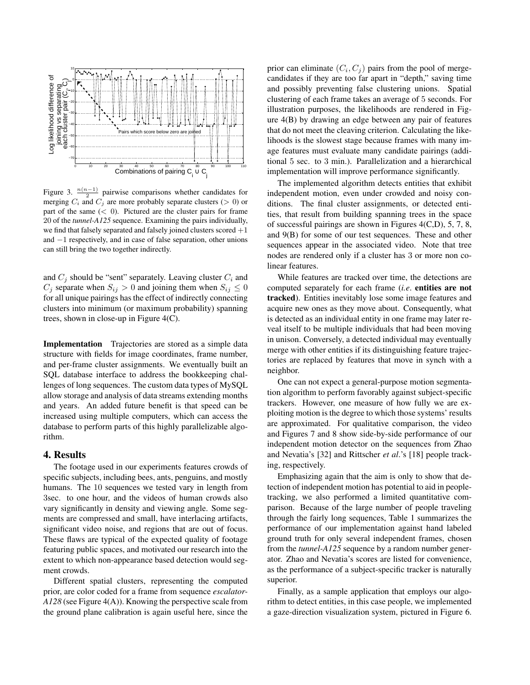

Figure 3.  $\frac{n(n-1)}{2}$  pairwise comparisons whether candidates for merging  $C_i$  and  $C_j$  are more probably separate clusters ( $> 0$ ) or part of the same  $(< 0)$ . Pictured are the cluster pairs for frame 20 of the *tunnel-A125* sequence. Examining the pairs individually, we find that falsely separated and falsely joined clusters scored  $+1$ and −1 respectively, and in case of false separation, other unions can still bring the two together indirectly.

and  $C_j$  should be "sent" separately. Leaving cluster  $C_i$  and  $C_j$  separate when  $S_{ij} > 0$  and joining them when  $S_{ij} \leq 0$ for all unique pairings has the effect of indirectly connecting clusters into minimum (or maximum probability) spanning trees, shown in close-up in Figure 4(C).

Implementation Trajectories are stored as a simple data structure with fields for image coordinates, frame number, and per-frame cluster assignments. We eventually built an SQL database interface to address the bookkeeping challenges of long sequences. The custom data types of MySQL allow storage and analysis of data streams extending months and years. An added future benefit is that speed can be increased using multiple computers, which can access the database to perform parts of this highly parallelizable algorithm.

## 4. Results

The footage used in our experiments features crowds of specific subjects, including bees, ants, penguins, and mostly humans. The 10 sequences we tested vary in length from 3sec. to one hour, and the videos of human crowds also vary significantly in density and viewing angle. Some segments are compressed and small, have interlacing artifacts, significant video noise, and regions that are out of focus. These flaws are typical of the expected quality of footage featuring public spaces, and motivated our research into the extent to which non-appearance based detection would segment crowds.

Different spatial clusters, representing the computed prior, are color coded for a frame from sequence *escalator-A128* (see Figure 4(A)). Knowing the perspective scale from the ground plane calibration is again useful here, since the

prior can eliminate  $(C_i, C_j)$  pairs from the pool of mergecandidates if they are too far apart in "depth," saving time and possibly preventing false clustering unions. Spatial clustering of each frame takes an average of 5 seconds. For illustration purposes, the likelihoods are rendered in Figure 4(B) by drawing an edge between any pair of features that do not meet the cleaving criterion. Calculating the likelihoods is the slowest stage because frames with many image features must evaluate many candidate pairings (additional 5 sec. to 3 min.). Parallelization and a hierarchical implementation will improve performance significantly.

The implemented algorithm detects entities that exhibit independent motion, even under crowded and noisy conditions. The final cluster assignments, or detected entities, that result from building spanning trees in the space of successful pairings are shown in Figures 4(C,D), 5, 7, 8, and 9(B) for some of our test sequences. These and other sequences appear in the associated video. Note that tree nodes are rendered only if a cluster has 3 or more non colinear features.

While features are tracked over time, the detections are computed separately for each frame (*i.e*. entities are not tracked). Entities inevitably lose some image features and acquire new ones as they move about. Consequently, what is detected as an individual entity in one frame may later reveal itself to be multiple individuals that had been moving in unison. Conversely, a detected individual may eventually merge with other entities if its distinguishing feature trajectories are replaced by features that move in synch with a neighbor.

One can not expect a general-purpose motion segmentation algorithm to perform favorably against subject-specific trackers. However, one measure of how fully we are exploiting motion is the degree to which those systems' results are approximated. For qualitative comparison, the video and Figures 7 and 8 show side-by-side performance of our independent motion detector on the sequences from Zhao and Nevatia's [32] and Rittscher *et al*.'s [18] people tracking, respectively.

Emphasizing again that the aim is only to show that detection of independent motion has potential to aid in peopletracking, we also performed a limited quantitative comparison. Because of the large number of people traveling through the fairly long sequences, Table 1 summarizes the performance of our implementation against hand labeled ground truth for only several independent frames, chosen from the *tunnel-A125* sequence by a random number generator. Zhao and Nevatia's scores are listed for convenience, as the performance of a subject-specific tracker is naturally superior.

Finally, as a sample application that employs our algorithm to detect entities, in this case people, we implemented a gaze-direction visualization system, pictured in Figure 6.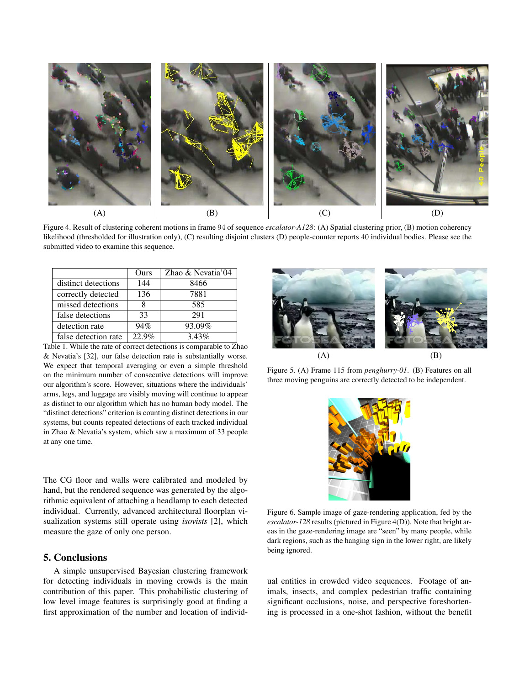

Figure 4. Result of clustering coherent motions in frame 94 of sequence *escalator-A128*: (A) Spatial clustering prior, (B) motion coherency likelihood (thresholded for illustration only), (C) resulting disjoint clusters (D) people-counter reports 40 individual bodies. Please see the submitted video to examine this sequence.

|                      | Ours  | Zhao & Nevatia'04 |
|----------------------|-------|-------------------|
| distinct detections  | 144   | 8466              |
| correctly detected   | 136   | 7881              |
| missed detections    |       | 585               |
| false detections     | 33    | 291               |
| detection rate       | 94%   | 93.09%            |
| false detection rate | 22.9% | 3.43%             |

Table 1. While the rate of correct detections is comparable to Zhao & Nevatia's [32], our false detection rate is substantially worse. We expect that temporal averaging or even a simple threshold on the minimum number of consecutive detections will improve our algorithm's score. However, situations where the individuals' arms, legs, and luggage are visibly moving will continue to appear as distinct to our algorithm which has no human body model. The "distinct detections" criterion is counting distinct detections in our systems, but counts repeated detections of each tracked individual in Zhao & Nevatia's system, which saw a maximum of 33 people at any one time.

The CG floor and walls were calibrated and modeled by hand, but the rendered sequence was generated by the algorithmic equivalent of attaching a headlamp to each detected individual. Currently, advanced architectural floorplan visualization systems still operate using *isovists* [2], which measure the gaze of only one person.

# 5. Conclusions

A simple unsupervised Bayesian clustering framework for detecting individuals in moving crowds is the main contribution of this paper. This probabilistic clustering of low level image features is surprisingly good at finding a first approximation of the number and location of individ-



Figure 5. (A) Frame 115 from *penghurry-01*. (B) Features on all three moving penguins are correctly detected to be independent.



Figure 6. Sample image of gaze-rendering application, fed by the *escalator-128* results (pictured in Figure 4(D)). Note that bright areas in the gaze-rendering image are "seen" by many people, while dark regions, such as the hanging sign in the lower right, are likely being ignored.

ual entities in crowded video sequences. Footage of animals, insects, and complex pedestrian traffic containing significant occlusions, noise, and perspective foreshortening is processed in a one-shot fashion, without the benefit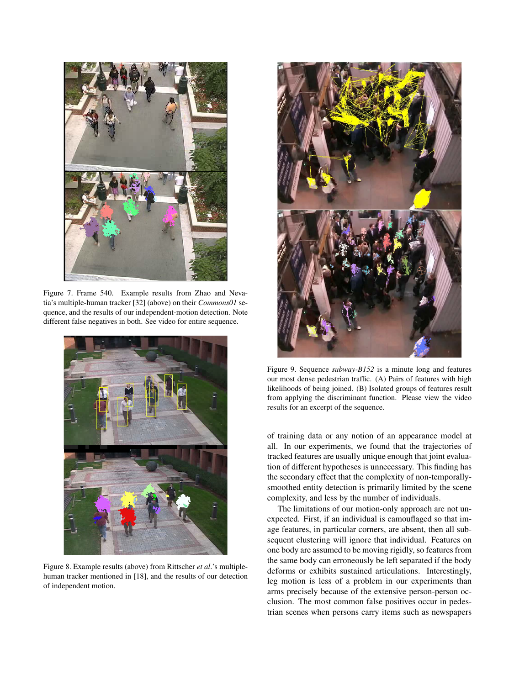

Figure 7. Frame 540. Example results from Zhao and Nevatia's multiple-human tracker [32] (above) on their *Commons01* sequence, and the results of our independent-motion detection. Note different false negatives in both. See video for entire sequence.



Figure 8. Example results (above) from Rittscher *et al*.'s multiplehuman tracker mentioned in [18], and the results of our detection of independent motion.



Figure 9. Sequence *subway-B152* is a minute long and features our most dense pedestrian traffic. (A) Pairs of features with high likelihoods of being joined. (B) Isolated groups of features result from applying the discriminant function. Please view the video results for an excerpt of the sequence.

of training data or any notion of an appearance model at all. In our experiments, we found that the trajectories of tracked features are usually unique enough that joint evaluation of different hypotheses is unnecessary. This finding has the secondary effect that the complexity of non-temporallysmoothed entity detection is primarily limited by the scene complexity, and less by the number of individuals.

The limitations of our motion-only approach are not unexpected. First, if an individual is camouflaged so that image features, in particular corners, are absent, then all subsequent clustering will ignore that individual. Features on one body are assumed to be moving rigidly, so features from the same body can erroneously be left separated if the body deforms or exhibits sustained articulations. Interestingly, leg motion is less of a problem in our experiments than arms precisely because of the extensive person-person occlusion. The most common false positives occur in pedestrian scenes when persons carry items such as newspapers